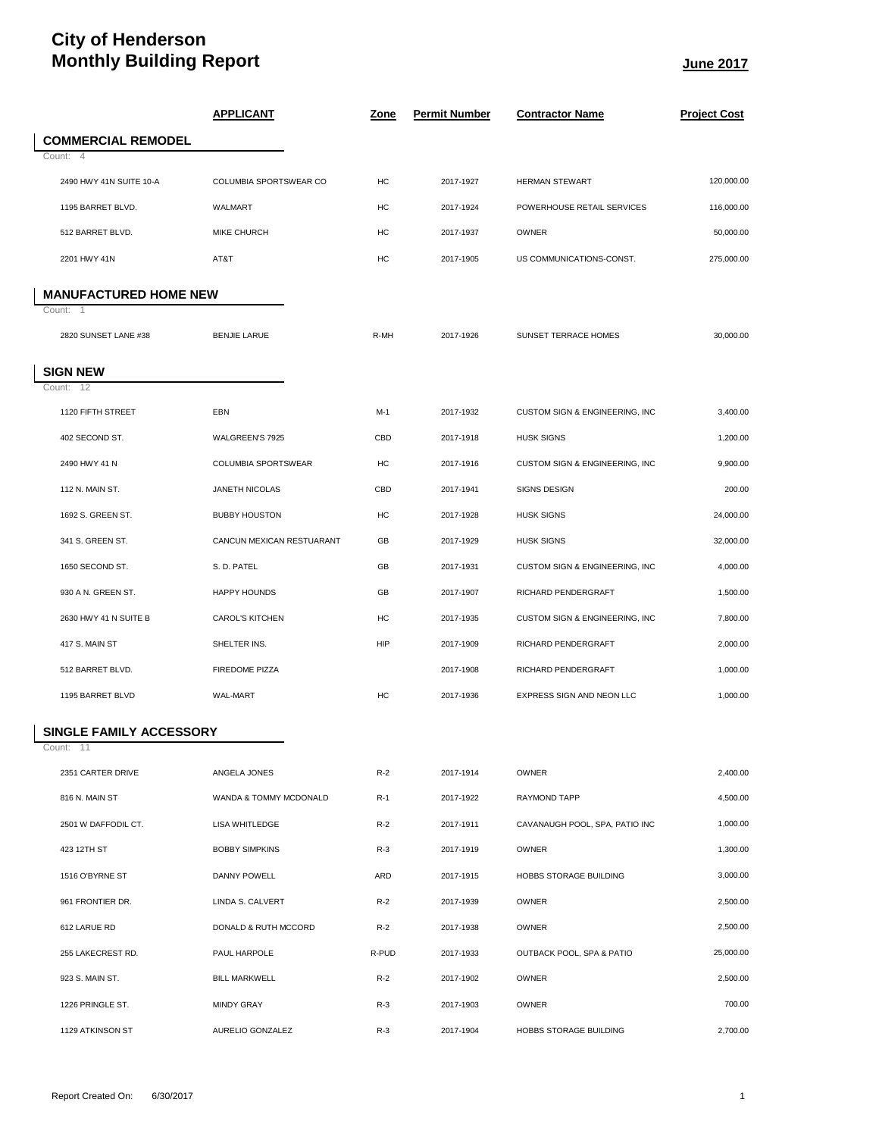## **City of Henderson Monthly Building Report June 2017**

|                                | <u>APPLICANT</u>          | <u>Zone</u> | <b>Permit Number</b> | <b>Contractor Name</b>         | <b>Project Cost</b> |
|--------------------------------|---------------------------|-------------|----------------------|--------------------------------|---------------------|
| <b>COMMERCIAL REMODEL</b>      |                           |             |                      |                                |                     |
| Count: 4                       |                           |             |                      |                                |                     |
| 2490 HWY 41N SUITE 10-A        | COLUMBIA SPORTSWEAR CO    | HC          | 2017-1927            | <b>HERMAN STEWART</b>          | 120.000.00          |
| 1195 BARRET BLVD.              | <b>WALMART</b>            | HC          | 2017-1924            | POWERHOUSE RETAIL SERVICES     | 116,000.00          |
| 512 BARRET BLVD.               | <b>MIKE CHURCH</b>        | HC          | 2017-1937            | <b>OWNER</b>                   | 50,000.00           |
| 2201 HWY 41N                   | AT&T                      | HC          | 2017-1905            | US COMMUNICATIONS-CONST.       | 275,000.00          |
| <b>MANUFACTURED HOME NEW</b>   |                           |             |                      |                                |                     |
| Count: 1                       |                           |             |                      |                                |                     |
| 2820 SUNSET LANE #38           | <b>BENJIE LARUE</b>       | R-MH        | 2017-1926            | SUNSET TERRACE HOMES           | 30,000.00           |
|                                |                           |             |                      |                                |                     |
| <b>SIGN NEW</b><br>Count: 12   |                           |             |                      |                                |                     |
| 1120 FIFTH STREET              | EBN                       | $M-1$       | 2017-1932            | CUSTOM SIGN & ENGINEERING, INC | 3,400.00            |
| 402 SECOND ST.                 | WALGREEN'S 7925           | CBD         | 2017-1918            | <b>HUSK SIGNS</b>              | 1,200.00            |
| 2490 HWY 41 N                  | COLUMBIA SPORTSWEAR       | HC          | 2017-1916            | CUSTOM SIGN & ENGINEERING, INC | 9,900.00            |
| 112 N. MAIN ST.                | JANETH NICOLAS            | CBD         | 2017-1941            | SIGNS DESIGN                   | 200.00              |
| 1692 S. GREEN ST.              | <b>BUBBY HOUSTON</b>      | HC          | 2017-1928            | <b>HUSK SIGNS</b>              | 24,000.00           |
| 341 S. GREEN ST.               | CANCUN MEXICAN RESTUARANT | GB          | 2017-1929            | <b>HUSK SIGNS</b>              | 32,000.00           |
| 1650 SECOND ST.                | S. D. PATEL               | GB          | 2017-1931            | CUSTOM SIGN & ENGINEERING, INC | 4,000.00            |
| 930 A N. GREEN ST.             | <b>HAPPY HOUNDS</b>       | GB          | 2017-1907            | RICHARD PENDERGRAFT            | 1,500.00            |
| 2630 HWY 41 N SUITE B          | <b>CAROL'S KITCHEN</b>    | HC          | 2017-1935            | CUSTOM SIGN & ENGINEERING, INC | 7,800.00            |
| 417 S. MAIN ST                 | SHELTER INS.              | HIP         | 2017-1909            | RICHARD PENDERGRAFT            | 2,000.00            |
| 512 BARRET BLVD.               | <b>FIREDOME PIZZA</b>     |             | 2017-1908            | RICHARD PENDERGRAFT            | 1,000.00            |
| 1195 BARRET BLVD               | WAL-MART                  | HC          | 2017-1936            | EXPRESS SIGN AND NEON LLC      | 1,000.00            |
| <b>SINGLE FAMILY ACCESSORY</b> |                           |             |                      |                                |                     |
| Count: 11                      |                           |             |                      |                                |                     |
| 2351 CARTER DRIVE              | ANGELA JONES              | $R-2$       | 2017-1914            | OWNER                          | 2,400.00            |
| 816 N. MAIN ST                 | WANDA & TOMMY MCDONALD    | $R-1$       | 2017-1922            | RAYMOND TAPP                   | 4,500.00            |
| 2501 W DAFFODIL CT.            | LISA WHITLEDGE            | $R-2$       | 2017-1911            | CAVANAUGH POOL, SPA, PATIO INC | 1,000.00            |
| 423 12TH ST                    | <b>BOBBY SIMPKINS</b>     | $R-3$       | 2017-1919            | OWNER                          | 1,300.00            |
| 1516 O'BYRNE ST                | DANNY POWELL              | ARD         | 2017-1915            | HOBBS STORAGE BUILDING         | 3,000.00            |
| 961 FRONTIER DR.               | LINDA S. CALVERT          | $R-2$       | 2017-1939            | OWNER                          | 2,500.00            |
| 612 LARUE RD                   | DONALD & RUTH MCCORD      | $R-2$       | 2017-1938            | OWNER                          | 2,500.00            |
| 255 LAKECREST RD.              | PAUL HARPOLE              | R-PUD       | 2017-1933            | OUTBACK POOL, SPA & PATIO      | 25,000.00           |
| 923 S. MAIN ST.                | <b>BILL MARKWELL</b>      | $R-2$       | 2017-1902            | OWNER                          | 2,500.00            |
| 1226 PRINGLE ST.               | <b>MINDY GRAY</b>         | $R-3$       | 2017-1903            | OWNER                          | 700.00              |
| 1129 ATKINSON ST               | AURELIO GONZALEZ          | $R-3$       | 2017-1904            | HOBBS STORAGE BUILDING         | 2,700.00            |